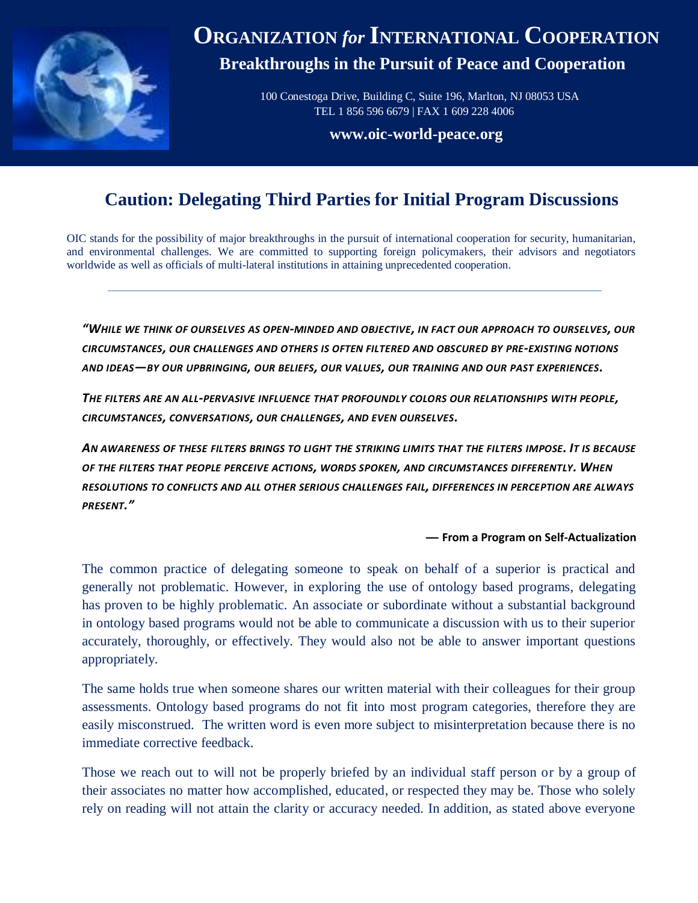

## **ORGANIZATION** *for* **INTERNATIONAL COOPERATION Breakthroughs in the Pursuit of Peace and Cooperation**

 100 Conestoga Drive, Building C, Suite 196, Marlton, NJ 08053 USA TEL 1 856 596 6679 | FAX 1 609 228 4006

**[www.oic-world-peace.org](http://www.oic-world-peace.org/)**

## **Caution: Delegating Third Parties for Initial Program Discussions**

OIC stands for the possibility of major breakthroughs in the pursuit of international cooperation for security, humanitarian, and environmental challenges. We are committed to supporting foreign policymakers, their advisors and negotiators worldwide as well as officials of multi-lateral institutions in attaining unprecedented cooperation.

*"WHILE WE THINK OF OURSELVES AS OPEN-MINDED AND OBJECTIVE, IN FACT OUR APPROACH TO OURSELVES, OUR CIRCUMSTANCES, OUR CHALLENGES AND OTHERS IS OFTEN FILTERED AND OBSCURED BY PRE-EXISTING NOTIONS AND IDEAS—BY OUR UPBRINGING, OUR BELIEFS, OUR VALUES, OUR TRAINING AND OUR PAST EXPERIENCES.*

*THE FILTERS ARE AN ALL-PERVASIVE INFLUENCE THAT PROFOUNDLY COLORS OUR RELATIONSHIPS WITH PEOPLE, CIRCUMSTANCES, CONVERSATIONS, OUR CHALLENGES, AND EVEN OURSELVES.*

*AN AWARENESS OF THESE FILTERS BRINGS TO LIGHT THE STRIKING LIMITS THAT THE FILTERS IMPOSE. IT IS BECAUSE OF THE FILTERS THAT PEOPLE PERCEIVE ACTIONS, WORDS SPOKEN, AND CIRCUMSTANCES DIFFERENTLY. WHEN RESOLUTIONS TO CONFLICTS AND ALL OTHER SERIOUS CHALLENGES FAIL, DIFFERENCES IN PERCEPTION ARE ALWAYS PRESENT."*

## **— From a Program on Self-Actualization**

The common practice of delegating someone to speak on behalf of a superior is practical and generally not problematic. However, in exploring the use of ontology based programs, delegating has proven to be highly problematic. An associate or subordinate without a substantial background in ontology based programs would not be able to communicate a discussion with us to their superior accurately, thoroughly, or effectively. They would also not be able to answer important questions appropriately.

The same holds true when someone shares our written material with their colleagues for their group assessments. Ontology based programs do not fit into most program categories, therefore they are easily misconstrued. The written word is even more subject to misinterpretation because there is no immediate corrective feedback.

Those we reach out to will not be properly briefed by an individual staff person or by a group of their associates no matter how accomplished, educated, or respected they may be. Those who solely rely on reading will not attain the clarity or accuracy needed. In addition, as stated above everyone